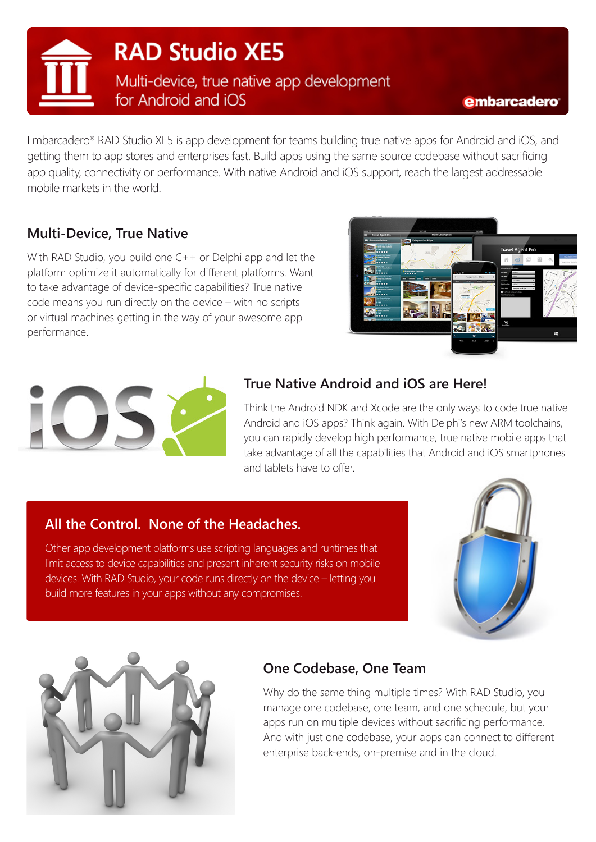**RAD Studio XE5** Multi-device, true native app development

for Android and iOS

Embarcadero® RAD Studio XE5 is app development for teams building true native apps for Android and iOS, and getting them to app stores and enterprises fast. Build apps using the same source codebase without sacrificing app quality, connectivity or performance. With native Android and iOS support, reach the largest addressable mobile markets in the world.

### **Multi-Device, True Native**

With RAD Studio, you build one C++ or Delphi app and let the platform optimize it automatically for different platforms. Want to take advantage of device-specific capabilities? True native code means you run directly on the device – with no scripts or virtual machines getting in the way of your awesome app performance.





# **True Native Android and iOS are Here!**

Think the Android NDK and Xcode are the only ways to code true native Android and iOS apps? Think again. With Delphi's new ARM toolchains, you can rapidly develop high performance, true native mobile apps that take advantage of all the capabilities that Android and iOS smartphones and tablets have to offer.

### **All the Control. None of the Headaches.**

Other app development platforms use scripting languages and runtimes that limit access to device capabilities and present inherent security risks on mobile devices. With RAD Studio, your code runs directly on the device – letting you build more features in your apps without any compromises.





### **One Codebase, One Team**

Why do the same thing multiple times? With RAD Studio, you manage one codebase, one team, and one schedule, but your apps run on multiple devices without sacrificing performance. And with just one codebase, your apps can connect to different enterprise back-ends, on-premise and in the cloud.